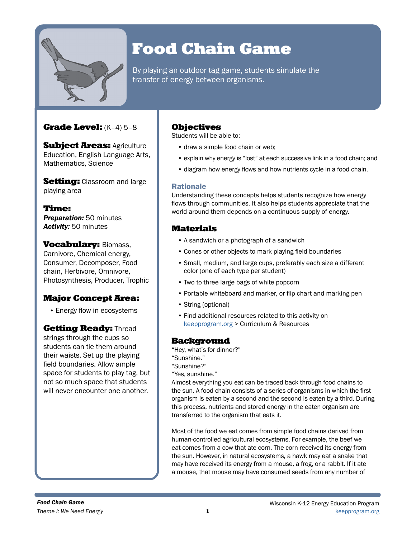

# Food Chain Game

By playing an outdoor tag game, students simulate the transfer of energy between organisms.

# Grade Level: (K–4) 5–8

**Subject Areas: Agriculture** Education, English Language Arts, Mathematics, Science

**Setting:** Classroom and large playing area

Time: *Preparation:* 50 minutes *Activity:* 50 minutes

**Vocabulary: Biomass,** Carnivore, Chemical energy, Consumer, Decomposer, Food chain, Herbivore, Omnivore, Photosynthesis, Producer, Trophic

# Major Concept Area:

• Energy flow in ecosystems

**Getting Ready: Thread** strings through the cups so students can tie them around their waists. Set up the playing field boundaries. Allow ample space for students to play tag, but not so much space that students will never encounter one another.

# Objectives

Students will be able to:

- draw a simple food chain or web:
- explain why energy is "lost" at each successive link in a food chain; and
- diagram how energy flows and how nutrients cycle in a food chain.

## Rationale

Understanding these concepts helps students recognize how energy flows through communities. It also helps students appreciate that the world around them depends on a continuous supply of energy.

# **Materials**

- A sandwich or a photograph of a sandwich
- Cones or other objects to mark playing field boundaries
- Small, medium, and large cups, preferably each size a different color (one of each type per student)
- Two to three large bags of white popcorn
- Portable whiteboard and marker, or flip chart and marking pen
- String (optional)
- Find additional resources related to this activity on [keepprogram.org](http://keepprogram.org) > Curriculum & Resources

## **Background**

"Hey, what's for dinner?"

- "Sunshine."
- "Sunshine?"
- "Yes, sunshine."

Almost everything you eat can be traced back through food chains to the sun. A food chain consists of a series of organisms in which the first organism is eaten by a second and the second is eaten by a third. During this process, nutrients and stored energy in the eaten organism are transferred to the organism that eats it.

Most of the food we eat comes from simple food chains derived from human-controlled agricultural ecosystems. For example, the beef we eat comes from a cow that ate corn. The corn received its energy from the sun. However, in natural ecosystems, a hawk may eat a snake that may have received its energy from a mouse, a frog, or a rabbit. If it ate a mouse, that mouse may have consumed seeds from any number of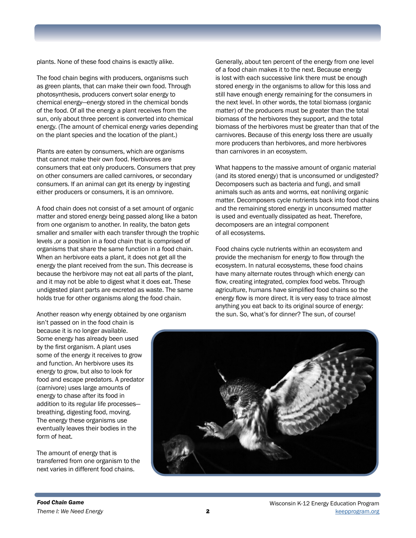plants. None of these food chains is exactly alike.

The food chain begins with producers, organisms such as green plants, that can make their own food. Through photosynthesis, producers convert solar energy to chemical energy—energy stored in the chemical bonds of the food. Of all the energy a plant receives from the sun, only about three percent is converted into chemical energy. (The amount of chemical energy varies depending on the plant species and the location of the plant.)

Plants are eaten by consumers, which are organisms that cannot make their own food. Herbivores are consumers that eat only producers. Consumers that prey on other consumers are called carnivores, or secondary consumers. If an animal can get its energy by ingesting either producers or consumers, it is an omnivore.

A food chain does not consist of a set amount of organic matter and stored energy being passed along like a baton from one organism to another. In reality, the baton gets smaller and smaller with each transfer through the trophic levels ,or a position in a food chain that is comprised of organisms that share the same function in a food chain. When an herbivore eats a plant, it does not get all the energy the plant received from the sun. This decrease is because the herbivore may not eat all parts of the plant, and it may not be able to digest what it does eat. These undigested plant parts are excreted as waste. The same holds true for other organisms along the food chain.

Another reason why energy obtained by one organism

isn't passed on in the food chain is because it is no longer available. Some energy has already been used by the first organism. A plant uses some of the energy it receives to grow and function. An herbivore uses its energy to grow, but also to look for food and escape predators. A predator (carnivore) uses large amounts of energy to chase after its food in addition to its regular life processes breathing, digesting food, moving. The energy these organisms use eventually leaves their bodies in the form of heat.

The amount of energy that is transferred from one organism to the next varies in different food chains.

Generally, about ten percent of the energy from one level of a food chain makes it to the next. Because energy is lost with each successive link there must be enough stored energy in the organisms to allow for this loss and still have enough energy remaining for the consumers in the next level. In other words, the total biomass (organic matter) of the producers must be greater than the total biomass of the herbivores they support, and the total biomass of the herbivores must be greater than that of the carnivores. Because of this energy loss there are usually more producers than herbivores, and more herbivores than carnivores in an ecosystem.

What happens to the massive amount of organic material (and its stored energy) that is unconsumed or undigested? Decomposers such as bacteria and fungi, and small animals such as ants and worms, eat nonliving organic matter. Decomposers cycle nutrients back into food chains and the remaining stored energy in unconsumed matter is used and eventually dissipated as heat. Therefore, decomposers are an integral component of all ecosystems.

Food chains cycle nutrients within an ecosystem and provide the mechanism for energy to flow through the ecosystem. In natural ecosystems, these food chains have many alternate routes through which energy can flow, creating integrated, complex food webs. Through agriculture, humans have simplified food chains so the energy flow is more direct. It is very easy to trace almost anything you eat back to its original source of energy: the sun. So, what's for dinner? The sun, of course!

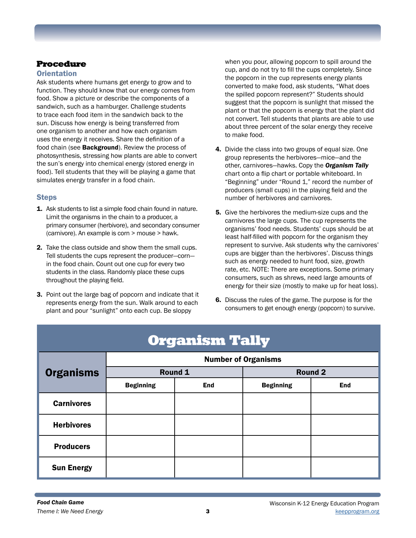# Procedure

## **Orientation**

Ask students where humans get energy to grow and to function. They should know that our energy comes from food. Show a picture or describe the components of a sandwich, such as a hamburger. Challenge students to trace each food item in the sandwich back to the sun. Discuss how energy is being transferred from one organism to another and how each organism uses the energy it receives. Share the definition of a food chain (see **Background**). Review the process of photosynthesis, stressing how plants are able to convert the sun's energy into chemical energy (stored energy in food). Tell students that they will be playing a game that simulates energy transfer in a food chain.

## **Steps**

- 1. Ask students to list a simple food chain found in nature. Limit the organisms in the chain to a producer, a primary consumer (herbivore), and secondary consumer (carnivore). An example is corn > mouse > hawk.
- 2. Take the class outside and show them the small cups. Tell students the cups represent the producer—corn in the food chain. Count out one cup for every two students in the class. Randomly place these cups throughout the playing field.
- 3. Point out the large bag of popcorn and indicate that it represents energy from the sun. Walk around to each plant and pour "sunlight" onto each cup. Be sloppy

when you pour, allowing popcorn to spill around the cup, and do not try to fill the cups completely. Since the popcorn in the cup represents energy plants converted to make food, ask students, "What does the spilled popcorn represent?" Students should suggest that the popcorn is sunlight that missed the plant or that the popcorn is energy that the plant did not convert. Tell students that plants are able to use about three percent of the solar energy they receive to make food.

- 4. Divide the class into two groups of equal size. One group represents the herbivores—mice—and the other, carnivores—hawks. Copy the *Organism Tally*  chart onto a flip chart or portable whiteboard. In "Beginning" under "Round 1," record the number of producers (small cups) in the playing field and the number of herbivores and carnivores.
- **5.** Give the herbivores the medium-size cups and the carnivores the large cups. The cup represents the organisms' food needs. Students' cups should be at least half-filled with popcorn for the organism they represent to survive. Ask students why the carnivores' cups are bigger than the herbivores'. Discuss things such as energy needed to hunt food, size, growth rate, etc. NOTE: There are exceptions. Some primary consumers, such as shrews, need large amounts of energy for their size (mostly to make up for heat loss).
- 6. Discuss the rules of the game. The purpose is for the consumers to get enough energy (popcorn) to survive.

| <b>Organism Tally</b> |                            |            |                  |            |
|-----------------------|----------------------------|------------|------------------|------------|
| <b>Organisms</b>      | <b>Number of Organisms</b> |            |                  |            |
|                       | Round 1                    |            | <b>Round 2</b>   |            |
|                       | <b>Beginning</b>           | <b>End</b> | <b>Beginning</b> | <b>End</b> |
| <b>Carnivores</b>     |                            |            |                  |            |
| <b>Herbivores</b>     |                            |            |                  |            |
| <b>Producers</b>      |                            |            |                  |            |
| <b>Sun Energy</b>     |                            |            |                  |            |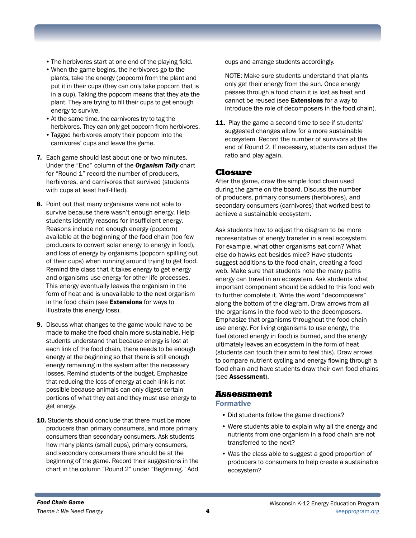- •The herbivores start at one end of the playing field.
- •When the game begins, the herbivores go to the plants, take the energy (popcorn) from the plant and put it in their cups (they can only take popcorn that is in a cup). Taking the popcorn means that they ate the plant. They are trying to fill their cups to get enough energy to survive.
- •At the same time, the carnivores try to tag the herbivores. They can only get popcorn from herbivores.
- •Tagged herbivores empty their popcorn into the carnivores' cups and leave the game.
- 7. Each game should last about one or two minutes. Under the "End" column of the *Organism Tally* chart for "Round 1" record the number of producers, herbivores, and carnivores that survived (students with cups at least half-filled).
- 8. Point out that many organisms were not able to survive because there wasn't enough energy. Help students identify reasons for insufficient energy. Reasons include not enough energy (popcorn) available at the beginning of the food chain (too few producers to convert solar energy to energy in food), and loss of energy by organisms (popcorn spilling out of their cups) when running around trying to get food. Remind the class that it takes energy to get energy and organisms use energy for other life processes. This energy eventually leaves the organism in the form of heat and is unavailable to the next organism in the food chain (see Extensions for ways to illustrate this energy loss).
- 9. Discuss what changes to the game would have to be made to make the food chain more sustainable. Help students understand that because energy is lost at each link of the food chain, there needs to be enough energy at the beginning so that there is still enough energy remaining in the system after the necessary losses. Remind students of the budget. Emphasize that reducing the loss of energy at each link is not possible because animals can only digest certain portions of what they eat and they must use energy to get energy.
- 10. Students should conclude that there must be more producers than primary consumers, and more primary consumers than secondary consumers. Ask students how many plants (small cups), primary consumers, and secondary consumers there should be at the beginning of the game. Record their suggestions in the chart in the column "Round 2" under "Beginning." Add

cups and arrange students accordingly.

NOTE: Make sure students understand that plants only get their energy from the sun. Once energy passes through a food chain it is lost as heat and cannot be reused (see **Extensions** for a way to introduce the role of decomposers in the food chain).

11. Play the game a second time to see if students' suggested changes allow for a more sustainable ecosystem. Record the number of survivors at the end of Round 2. If necessary, students can adjust the ratio and play again.

#### Closure

After the game, draw the simple food chain used during the game on the board. Discuss the number of producers, primary consumers (herbivores), and secondary consumers (carnivores) that worked best to achieve a sustainable ecosystem.

Ask students how to adjust the diagram to be more representative of energy transfer in a real ecosystem. For example, what other organisms eat corn? What else do hawks eat besides mice? Have students suggest additions to the food chain, creating a food web. Make sure that students note the many paths energy can travel in an ecosystem. Ask students what important component should be added to this food web to further complete it. Write the word "decomposers" along the bottom of the diagram. Draw arrows from all the organisms in the food web to the decomposers. Emphasize that organisms throughout the food chain use energy. For living organisms to use energy, the fuel (stored energy in food) is burned, and the energy ultimately leaves an ecosystem in the form of heat (students can touch their arm to feel this). Draw arrows to compare nutrient cycling and energy flowing through a food chain and have students draw their own food chains (see Assessment).

### Assessment

#### Formative

- Did students follow the game directions?
- Were students able to explain why all the energy and nutrients from one organism in a food chain are not transferred to the next?
- Was the class able to suggest a good proportion of producers to consumers to help create a sustainable ecosystem?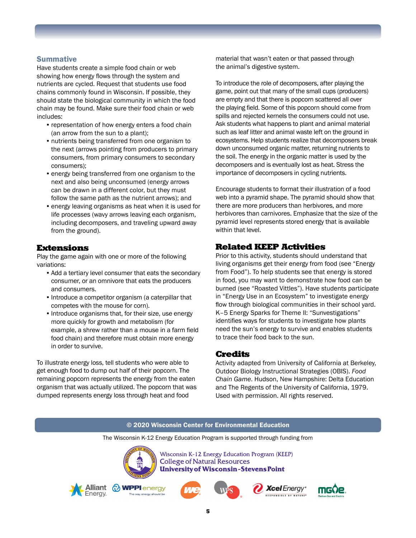#### **Summative**

Have students create a simple food chain or web showing how energy flows through the system and nutrients are cycled. Request that students use food chains commonly found in Wisconsin. If possible, they should state the biological community in which the food chain may be found. Make sure their food chain or web includes:

- representation of how energy enters a food chain (an arrow from the sun to a plant);
- •nutrients being transferred from one organism to the next (arrows pointing from producers to primary consumers, from primary consumers to secondary consumers);
- energy being transferred from one organism to the next and also being unconsumed (energy arrows can be drawn in a different color, but they must follow the same path as the nutrient arrows); and
- energy leaving organisms as heat when it is used for life processes (wavy arrows leaving each organism, including decomposers, and traveling upward away from the ground).

#### Extensions

Play the game again with one or more of the following variations:

- •Add a tertiary level consumer that eats the secondary consumer, or an omnivore that eats the producers and consumers.
- Introduce a competitor organism (a caterpillar that competes with the mouse for corn).
- Introduce organisms that, for their size, use energy more quickly for growth and metabolism (for example, a shrew rather than a mouse in a farm field food chain) and therefore must obtain more energy in order to survive.

To illustrate energy loss, tell students who were able to get enough food to dump out half of their popcorn. The remaining popcorn represents the energy from the eaten organism that was actually utilized. The popcorn that was dumped represents energy loss through heat and food

material that wasn't eaten or that passed through the animal's digestive system.

To introduce the role of decomposers, after playing the game, point out that many of the small cups (producers) are empty and that there is popcorn scattered all over the playing field. Some of this popcorn should come from spills and rejected kernels the consumers could not use. Ask students what happens to plant and animal material such as leaf litter and animal waste left on the ground in ecosystems. Help students realize that decomposers break down unconsumed organic matter, returning nutrients to the soil. The energy in the organic matter is used by the decomposers and is eventually lost as heat. Stress the importance of decomposers in cycling nutrients.

Encourage students to format their illustration of a food web into a pyramid shape. The pyramid should show that there are more producers than herbivores, and more herbivores than carnivores. Emphasize that the size of the pyramid level represents stored energy that is available within that level.

## Related KEEP Activities

Prior to this activity, students should understand that living organisms get their energy from food (see "Energy from Food"). To help students see that energy is stored in food, you may want to demonstrate how food can be burned (see "Roasted Vittles"). Have students participate in "Energy Use in an Ecosystem" to investigate energy flow through biological communities in their school yard. K–5 Energy Sparks for Theme II: "Sunvestigations" identifies ways for students to investigate how plants need the sun's energy to survive and enables students to trace their food back to the sun.

#### Credits

Activity adapted from University of California at Berkeley, Outdoor Biology Instructional Strategies (OBIS). *Food Chain Game*. Hudson, New Hampshire: Delta Education and The Regents of the University of California, 1979. Used with permission. All rights reserved.